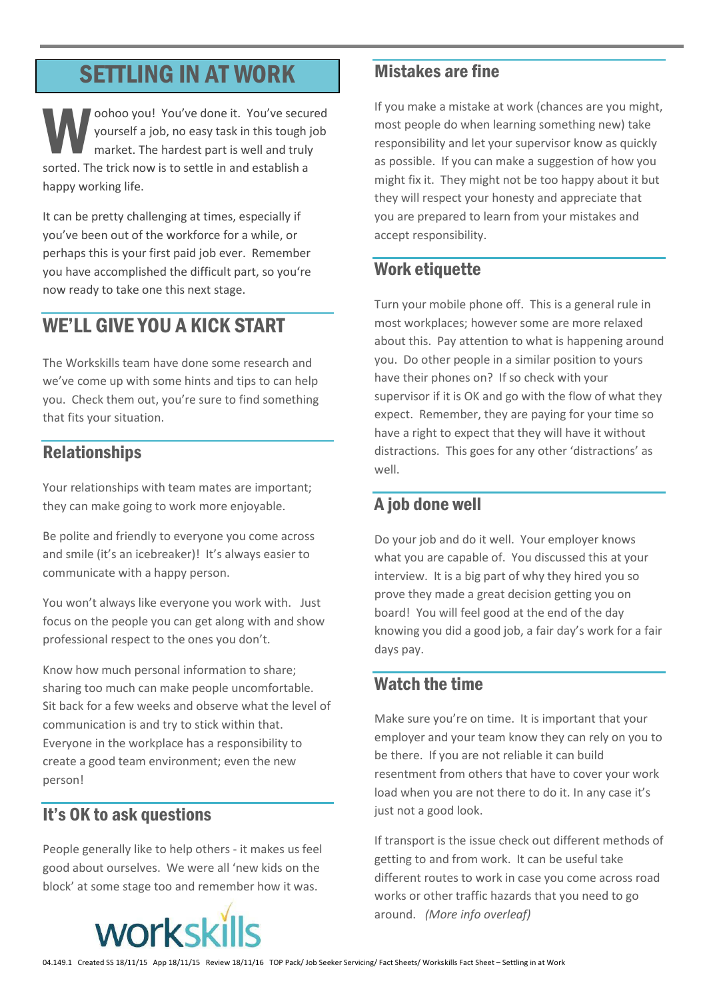# SETTLING IN AT WORK

oohoo you! You've done it. You've secured yourself a job, no easy task in this tough job market. The hardest part is well and truly sorted. The trick now is to settle in and establish a happy working life. W you

It can be pretty challenging at times, especially if you've been out of the workforce for a while, or perhaps this is your first paid job ever. Remember you have accomplished the difficult part, so you're now ready to take one this next stage.

## WE'LL GIVE YOU A KICK START

The Workskills team have done some research and we've come up with some hints and tips to can help you. Check them out, you're sure to find something that fits your situation.

## Relationships

Your relationships with team mates are important; they can make going to work more enjoyable.

Be polite and friendly to everyone you come across and smile (it's an icebreaker)! It's always easier to communicate with a happy person.

You won't always like everyone you work with. Just focus on the people you can get along with and show professional respect to the ones you don't.

Know how much personal information to share; sharing too much can make people uncomfortable. Sit back for a few weeks and observe what the level of communication is and try to stick within that. Everyone in the workplace has a responsibility to create a good team environment; even the new person!

## It's OK to ask questions

People generally like to help others - it makes us feel good about ourselves. We were all 'new kids on the block' at some stage too and remember how it was.



#### Mistakes are fine

If you make a mistake at work (chances are you might, most people do when learning something new) take responsibility and let your supervisor know as quickly as possible. If you can make a suggestion of how you might fix it. They might not be too happy about it but they will respect your honesty and appreciate that you are prepared to learn from your mistakes and accept responsibility.

## Work etiquette

Turn your mobile phone off. This is a general rule in most workplaces; however some are more relaxed about this. Pay attention to what is happening around you. Do other people in a similar position to yours have their phones on? If so check with your supervisor if it is OK and go with the flow of what they expect. Remember, they are paying for your time so have a right to expect that they will have it without distractions. This goes for any other 'distractions' as well.

## A job done well

Do your job and do it well. Your employer knows what you are capable of. You discussed this at your interview. It is a big part of why they hired you so prove they made a great decision getting you on board! You will feel good at the end of the day knowing you did a good job, a fair day's work for a fair days pay.

## Watch the time

Make sure you're on time. It is important that your employer and your team know they can rely on you to be there. If you are not reliable it can build resentment from others that have to cover your work load when you are not there to do it. In any case it's just not a good look.

If transport is the issue check out different methods of getting to and from work. It can be useful take different routes to work in case you come across road works or other traffic hazards that you need to go around. *(More info overleaf)*